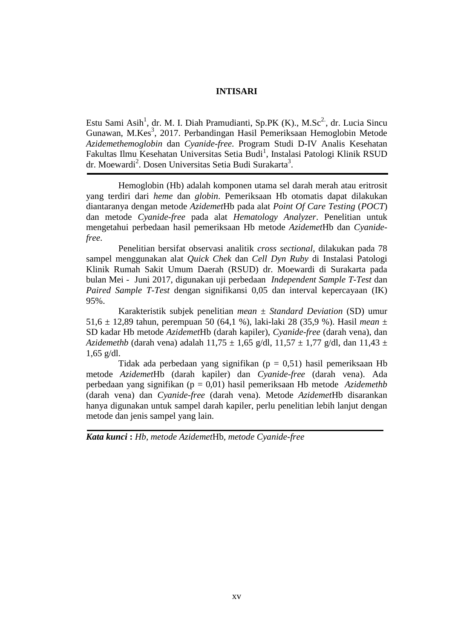## **INTISARI**

Estu Sami Asih<sup>1</sup>, dr. M. I. Diah Pramudianti, Sp.PK (K)., M.Sc<sup>2</sup>, dr. Lucia Sincu Gunawan, M.Kes<sup>3</sup>, 2017. Perbandingan Hasil Pemeriksaan Hemoglobin Metode *Azidemethemoglobin* dan *Cyanide-free*. Program Studi D-IV Analis Kesehatan Fakultas Ilmu Kesehatan Universitas Setia Budi<sup>1</sup>, Instalasi Patologi Klinik RSUD dr. Moewardi<sup>2</sup>. Dosen Universitas Setia Budi Surakarta<sup>3</sup>.

Hemoglobin (Hb) adalah komponen utama sel darah merah atau eritrosit yang terdiri dari *heme* dan *globin*. Pemeriksaan Hb otomatis dapat dilakukan diantaranya dengan metode *Azidemet*Hb pada alat *Point Of Care Testing* (*POCT*) dan metode *Cyanide-free* pada alat *Hematology Analyzer*. Penelitian untuk mengetahui perbedaan hasil pemeriksaan Hb metode *Azidemet*Hb dan *Cyanidefree*.

Penelitian bersifat observasi analitik *cross sectional*, dilakukan pada 78 sampel menggunakan alat *Quick Chek* dan *Cell Dyn Ruby* di Instalasi Patologi Klinik Rumah Sakit Umum Daerah (RSUD) dr. Moewardi di Surakarta pada bulan Mei - Juni 2017, digunakan uji perbedaan *Independent Sample T-Test* dan *Paired Sample T-Test* dengan signifikansi 0,05 dan interval kepercayaan (IK) 95%.

Karakteristik subjek penelitian *mean* ± *Standard Deviation* (SD) umur 51,6 ± 12,89 tahun, perempuan 50 (64,1 %), laki-laki 28 (35,9 %). Hasil *mean ±*  SD kadar Hb metode *Azidemet*Hb (darah kapiler), *Cyanide-free* (darah vena), dan *Azidemethb* (darah vena) adalah 11,75 ± 1,65 g/dl, 11,57 ± 1,77 g/dl, dan 11,43 ± 1,65 g/dl.

Tidak ada perbedaan yang signifikan ( $p = 0.51$ ) hasil pemeriksaan Hb metode *Azidemet*Hb (darah kapiler) dan *Cyanide-free* (darah vena). Ada perbedaan yang signifikan (p = 0,01) hasil pemeriksaan Hb metode *Azidemethb* (darah vena) dan *Cyanide-free* (darah vena). Metode *Azidemet*Hb disarankan hanya digunakan untuk sampel darah kapiler, perlu penelitian lebih lanjut dengan metode dan jenis sampel yang lain.

*Kata kunci* **:** *Hb, metode Azidemet*Hb*, metode Cyanide-free*